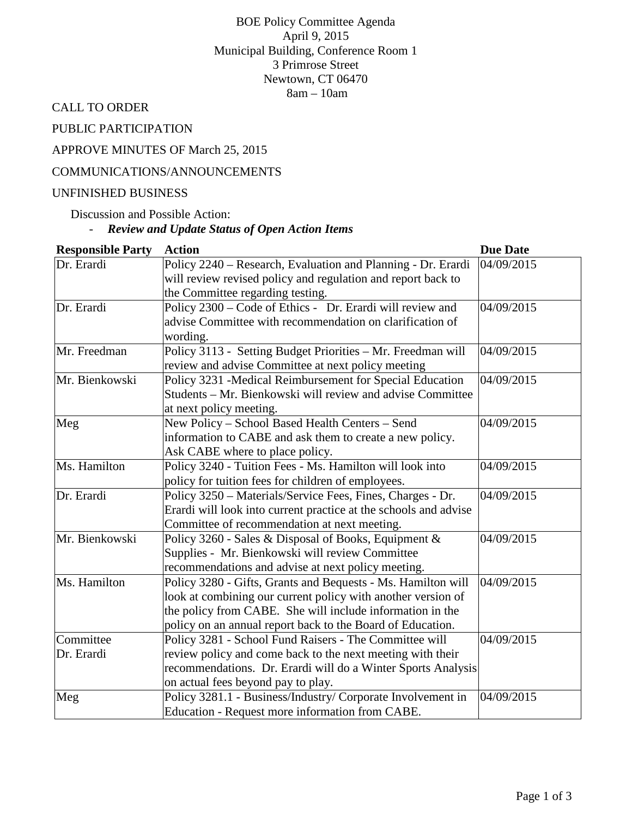BOE Policy Committee Agenda April 9, 2015 Municipal Building, Conference Room 1 3 Primrose Street Newtown, CT 06470 8am – 10am

CALL TO ORDER

PUBLIC PARTICIPATION

APPROVE MINUTES OF March 25, 2015

## COMMUNICATIONS/ANNOUNCEMENTS

#### UNFINISHED BUSINESS

Discussion and Possible Action:

# - *Review and Update Status of Open Action Items*

| <b>Responsible Party</b> | <b>Action</b>                                                        | <b>Due Date</b> |
|--------------------------|----------------------------------------------------------------------|-----------------|
| Dr. Erardi               | Policy 2240 – Research, Evaluation and Planning - Dr. Erardi         | 04/09/2015      |
|                          | will review revised policy and regulation and report back to         |                 |
|                          | the Committee regarding testing.                                     |                 |
| Dr. Erardi               | Policy 2300 - Code of Ethics - Dr. Erardi will review and            | 04/09/2015      |
|                          | advise Committee with recommendation on clarification of<br>wording. |                 |
| Mr. Freedman             | Policy 3113 - Setting Budget Priorities - Mr. Freedman will          | 04/09/2015      |
|                          | review and advise Committee at next policy meeting                   |                 |
| Mr. Bienkowski           | Policy 3231 -Medical Reimbursement for Special Education             | 04/09/2015      |
|                          | Students – Mr. Bienkowski will review and advise Committee           |                 |
|                          | at next policy meeting.                                              |                 |
| Meg                      | New Policy - School Based Health Centers - Send                      | 04/09/2015      |
|                          | information to CABE and ask them to create a new policy.             |                 |
|                          | Ask CABE where to place policy.                                      |                 |
| Ms. Hamilton             | Policy 3240 - Tuition Fees - Ms. Hamilton will look into             | 04/09/2015      |
|                          | policy for tuition fees for children of employees.                   |                 |
| Dr. Erardi               | Policy 3250 – Materials/Service Fees, Fines, Charges - Dr.           | 04/09/2015      |
|                          | Erardi will look into current practice at the schools and advise     |                 |
|                          | Committee of recommendation at next meeting.                         |                 |
| Mr. Bienkowski           | Policy 3260 - Sales & Disposal of Books, Equipment &                 | 04/09/2015      |
|                          | Supplies - Mr. Bienkowski will review Committee                      |                 |
|                          | recommendations and advise at next policy meeting.                   |                 |
| Ms. Hamilton             | Policy 3280 - Gifts, Grants and Bequests - Ms. Hamilton will         | 04/09/2015      |
|                          | look at combining our current policy with another version of         |                 |
|                          | the policy from CABE. She will include information in the            |                 |
|                          | policy on an annual report back to the Board of Education.           |                 |
| Committee                | Policy 3281 - School Fund Raisers - The Committee will               | 04/09/2015      |
| Dr. Erardi               | review policy and come back to the next meeting with their           |                 |
|                          | recommendations. Dr. Erardi will do a Winter Sports Analysis         |                 |
|                          | on actual fees beyond pay to play.                                   |                 |
| Meg                      | Policy 3281.1 - Business/Industry/ Corporate Involvement in          | 04/09/2015      |
|                          | Education - Request more information from CABE.                      |                 |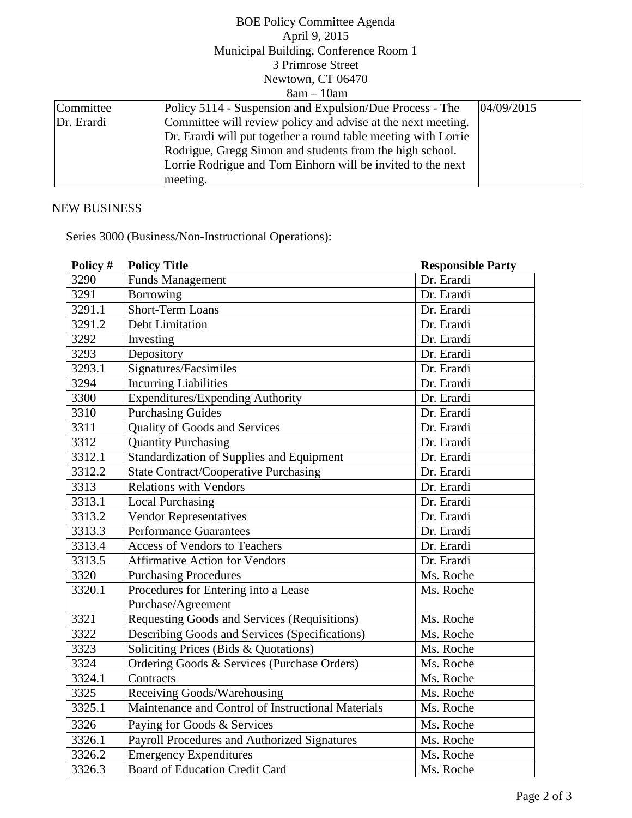|                   | <b>BOE Policy Committee Agenda</b>                             |            |  |  |
|-------------------|----------------------------------------------------------------|------------|--|--|
|                   | April 9, 2015                                                  |            |  |  |
|                   | Municipal Building, Conference Room 1                          |            |  |  |
|                   | 3 Primrose Street                                              |            |  |  |
| Newtown, CT 06470 |                                                                |            |  |  |
|                   | $8am - 10am$                                                   |            |  |  |
| Committee         | Policy 5114 - Suspension and Expulsion/Due Process - The       | 04/09/2015 |  |  |
| Dr. Erardi        | Committee will review policy and advise at the next meeting.   |            |  |  |
|                   | Dr. Erardi will put together a round table meeting with Lorrie |            |  |  |
|                   | Rodrigue, Gregg Simon and students from the high school.       |            |  |  |
|                   | Lorrie Rodrigue and Tom Einhorn will be invited to the next    |            |  |  |
|                   | meeting.                                                       |            |  |  |

# NEW BUSINESS

Series 3000 (Business/Non-Instructional Operations):

| Policy # | <b>Policy Title</b>                                 | <b>Responsible Party</b> |
|----------|-----------------------------------------------------|--------------------------|
| 3290     | <b>Funds Management</b>                             | Dr. Erardi               |
| 3291     | Borrowing                                           | Dr. Erardi               |
| 3291.1   | <b>Short-Term Loans</b>                             | Dr. Erardi               |
| 3291.2   | Debt Limitation                                     | Dr. Erardi               |
| 3292     | Investing                                           | Dr. Erardi               |
| 3293     | Depository                                          | Dr. Erardi               |
| 3293.1   | Signatures/Facsimiles                               | Dr. Erardi               |
| 3294     | <b>Incurring Liabilities</b>                        | Dr. Erardi               |
| 3300     | <b>Expenditures/Expending Authority</b>             | Dr. Erardi               |
| 3310     | <b>Purchasing Guides</b>                            | Dr. Erardi               |
| 3311     | <b>Quality of Goods and Services</b>                | Dr. Erardi               |
| 3312     | <b>Quantity Purchasing</b>                          | Dr. Erardi               |
| 3312.1   | Standardization of Supplies and Equipment           | Dr. Erardi               |
| 3312.2   | <b>State Contract/Cooperative Purchasing</b>        | Dr. Erardi               |
| 3313     | <b>Relations with Vendors</b>                       | Dr. Erardi               |
| 3313.1   | <b>Local Purchasing</b>                             | Dr. Erardi               |
| 3313.2   | <b>Vendor Representatives</b>                       | Dr. Erardi               |
| 3313.3   | <b>Performance Guarantees</b>                       | Dr. Erardi               |
| 3313.4   | Access of Vendors to Teachers                       | Dr. Erardi               |
| 3313.5   | <b>Affirmative Action for Vendors</b>               | Dr. Erardi               |
| 3320     | <b>Purchasing Procedures</b>                        | Ms. Roche                |
| 3320.1   | Procedures for Entering into a Lease                | Ms. Roche                |
|          | Purchase/Agreement                                  |                          |
| 3321     | <b>Requesting Goods and Services (Requisitions)</b> | Ms. Roche                |
| 3322     | Describing Goods and Services (Specifications)      | Ms. Roche                |
| 3323     | Soliciting Prices (Bids & Quotations)               | Ms. Roche                |
| 3324     | Ordering Goods & Services (Purchase Orders)         | Ms. Roche                |
| 3324.1   | Contracts                                           | Ms. Roche                |
| 3325     | Receiving Goods/Warehousing                         | Ms. Roche                |
| 3325.1   | Maintenance and Control of Instructional Materials  | Ms. Roche                |
| 3326     | Paying for Goods & Services                         | Ms. Roche                |
| 3326.1   | Payroll Procedures and Authorized Signatures        | Ms. Roche                |
| 3326.2   | <b>Emergency Expenditures</b>                       | Ms. Roche                |
| 3326.3   | <b>Board of Education Credit Card</b>               | Ms. Roche                |